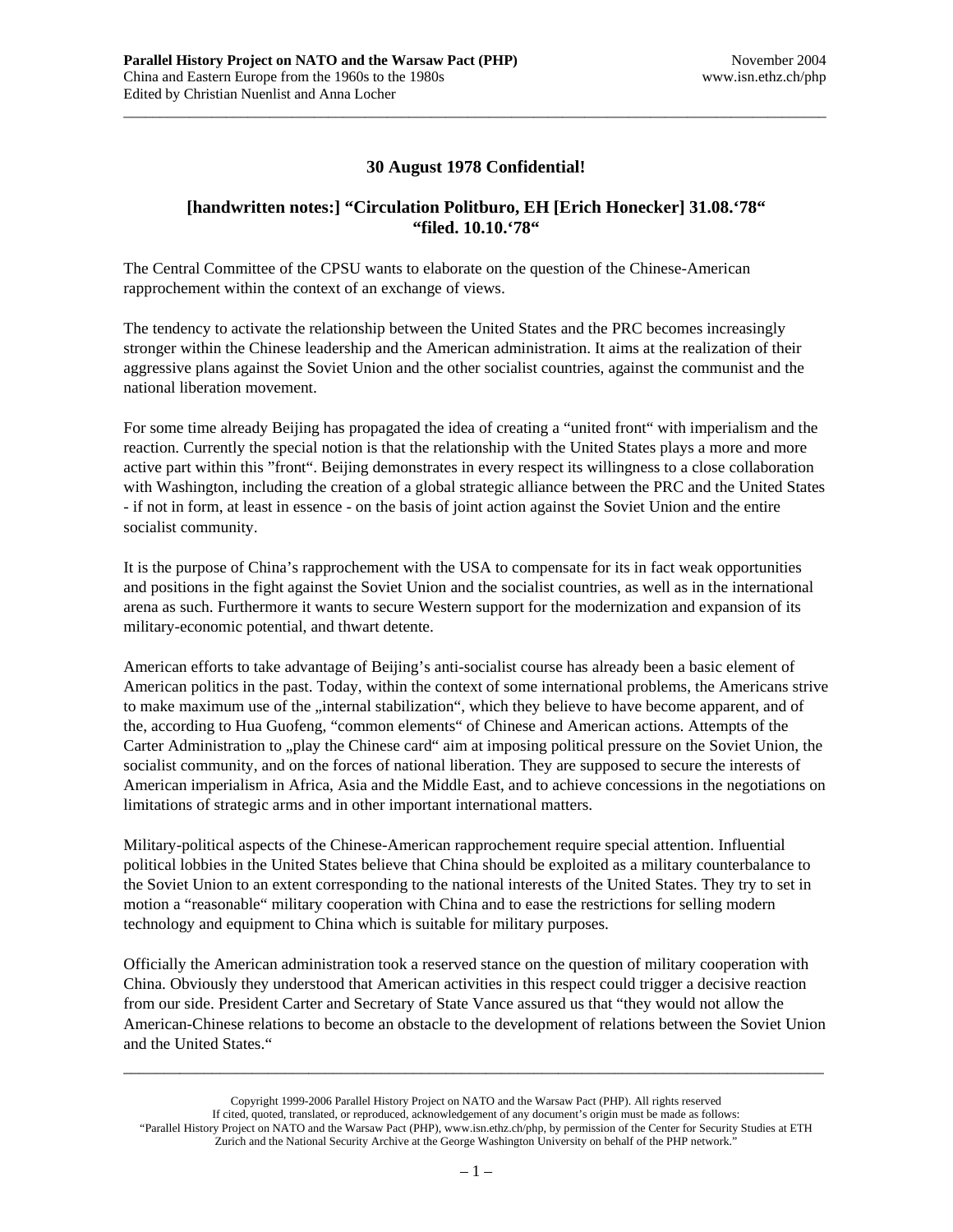## **30 August 1978 Confidential!**

\_\_\_\_\_\_\_\_\_\_\_\_\_\_\_\_\_\_\_\_\_\_\_\_\_\_\_\_\_\_\_\_\_\_\_\_\_\_\_\_\_\_\_\_\_\_\_\_\_\_\_\_\_\_\_\_\_\_\_\_\_\_\_\_\_\_\_\_\_\_\_\_\_\_\_\_\_\_\_\_\_\_\_\_\_\_\_\_\_\_\_\_\_\_\_\_

## **[handwritten notes:] "Circulation Politburo, EH [Erich Honecker] 31.08.'78" "filed. 10.10.'78"**

The Central Committee of the CPSU wants to elaborate on the question of the Chinese-American rapprochement within the context of an exchange of views.

The tendency to activate the relationship between the United States and the PRC becomes increasingly stronger within the Chinese leadership and the American administration. It aims at the realization of their aggressive plans against the Soviet Union and the other socialist countries, against the communist and the national liberation movement.

For some time already Beijing has propagated the idea of creating a "united front" with imperialism and the reaction. Currently the special notion is that the relationship with the United States plays a more and more active part within this "front". Beijing demonstrates in every respect its willingness to a close collaboration with Washington, including the creation of a global strategic alliance between the PRC and the United States - if not in form, at least in essence - on the basis of joint action against the Soviet Union and the entire socialist community.

It is the purpose of China's rapprochement with the USA to compensate for its in fact weak opportunities and positions in the fight against the Soviet Union and the socialist countries, as well as in the international arena as such. Furthermore it wants to secure Western support for the modernization and expansion of its military-economic potential, and thwart detente.

American efforts to take advantage of Beijing's anti-socialist course has already been a basic element of American politics in the past. Today, within the context of some international problems, the Americans strive to make maximum use of the "internal stabilization", which they believe to have become apparent, and of the, according to Hua Guofeng, "common elements" of Chinese and American actions. Attempts of the Carter Administration to "play the Chinese card" aim at imposing political pressure on the Soviet Union, the socialist community, and on the forces of national liberation. They are supposed to secure the interests of American imperialism in Africa, Asia and the Middle East, and to achieve concessions in the negotiations on limitations of strategic arms and in other important international matters.

Military-political aspects of the Chinese-American rapprochement require special attention. Influential political lobbies in the United States believe that China should be exploited as a military counterbalance to the Soviet Union to an extent corresponding to the national interests of the United States. They try to set in motion a "reasonable" military cooperation with China and to ease the restrictions for selling modern technology and equipment to China which is suitable for military purposes.

Officially the American administration took a reserved stance on the question of military cooperation with China. Obviously they understood that American activities in this respect could trigger a decisive reaction from our side. President Carter and Secretary of State Vance assured us that "they would not allow the American-Chinese relations to become an obstacle to the development of relations between the Soviet Union and the United States."

Copyright 1999-2006 Parallel History Project on NATO and the Warsaw Pact (PHP). All rights reserved If cited, quoted, translated, or reproduced, acknowledgement of any document's origin must be made as follows: "Parallel History Project on NATO and the Warsaw Pact (PHP), www.isn.ethz.ch/php, by permission of the Center for Security Studies at ETH Zurich and the National Security Archive at the George Washington University on behalf of the PHP network."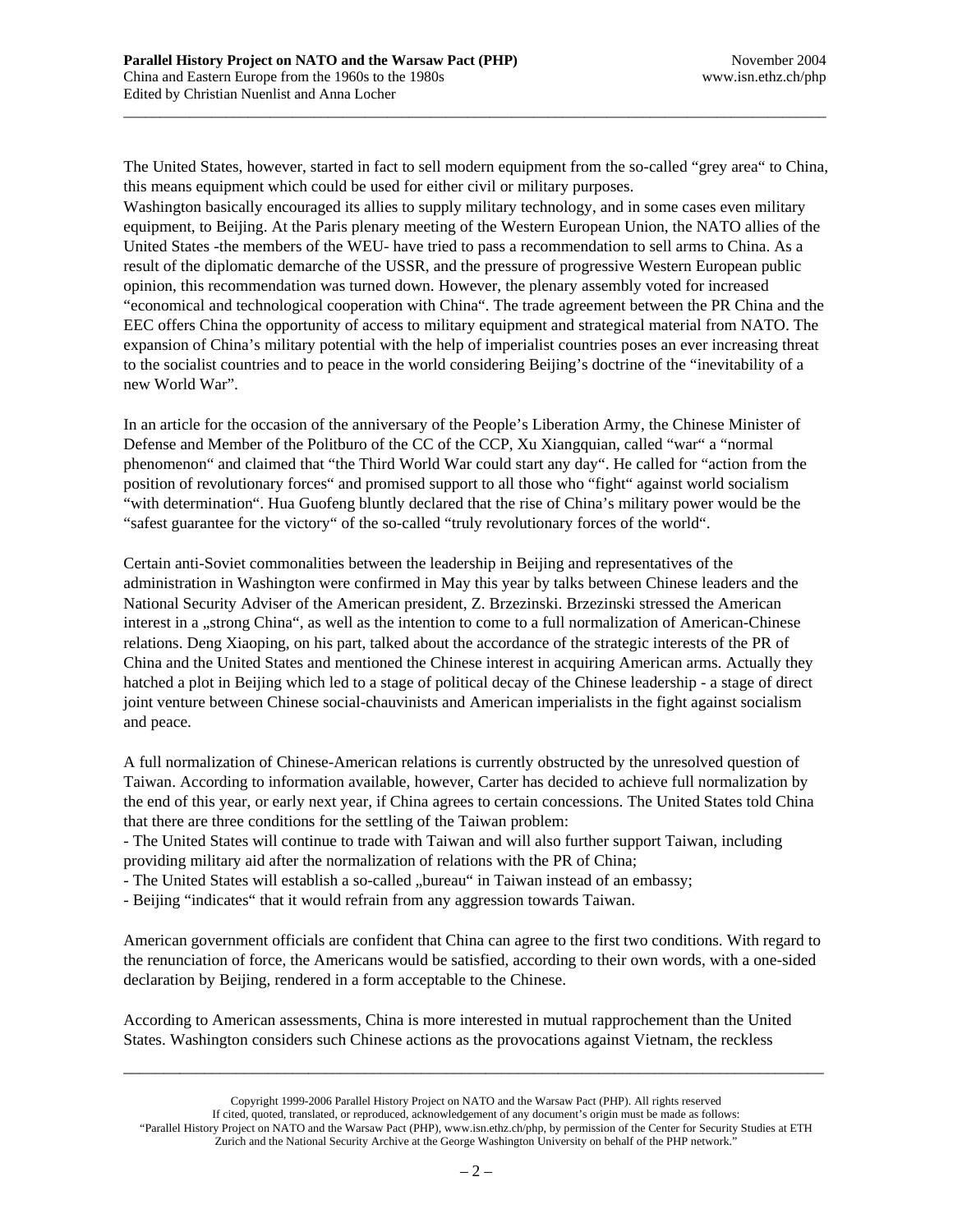The United States, however, started in fact to sell modern equipment from the so-called "grey area" to China, this means equipment which could be used for either civil or military purposes.

\_\_\_\_\_\_\_\_\_\_\_\_\_\_\_\_\_\_\_\_\_\_\_\_\_\_\_\_\_\_\_\_\_\_\_\_\_\_\_\_\_\_\_\_\_\_\_\_\_\_\_\_\_\_\_\_\_\_\_\_\_\_\_\_\_\_\_\_\_\_\_\_\_\_\_\_\_\_\_\_\_\_\_\_\_\_\_\_\_\_\_\_\_\_\_\_

Washington basically encouraged its allies to supply military technology, and in some cases even military equipment, to Beijing. At the Paris plenary meeting of the Western European Union, the NATO allies of the United States -the members of the WEU- have tried to pass a recommendation to sell arms to China. As a result of the diplomatic demarche of the USSR, and the pressure of progressive Western European public opinion, this recommendation was turned down. However, the plenary assembly voted for increased "economical and technological cooperation with China". The trade agreement between the PR China and the EEC offers China the opportunity of access to military equipment and strategical material from NATO. The expansion of China's military potential with the help of imperialist countries poses an ever increasing threat to the socialist countries and to peace in the world considering Beijing's doctrine of the "inevitability of a new World War".

In an article for the occasion of the anniversary of the People's Liberation Army, the Chinese Minister of Defense and Member of the Politburo of the CC of the CCP, Xu Xiangquian, called "war" a "normal phenomenon" and claimed that "the Third World War could start any day". He called for "action from the position of revolutionary forces" and promised support to all those who "fight" against world socialism "with determination". Hua Guofeng bluntly declared that the rise of China's military power would be the "safest guarantee for the victory" of the so-called "truly revolutionary forces of the world".

Certain anti-Soviet commonalities between the leadership in Beijing and representatives of the administration in Washington were confirmed in May this year by talks between Chinese leaders and the National Security Adviser of the American president, Z. Brzezinski. Brzezinski stressed the American interest in a "strong China", as well as the intention to come to a full normalization of American-Chinese relations. Deng Xiaoping, on his part, talked about the accordance of the strategic interests of the PR of China and the United States and mentioned the Chinese interest in acquiring American arms. Actually they hatched a plot in Beijing which led to a stage of political decay of the Chinese leadership - a stage of direct joint venture between Chinese social-chauvinists and American imperialists in the fight against socialism and peace.

A full normalization of Chinese-American relations is currently obstructed by the unresolved question of Taiwan. According to information available, however, Carter has decided to achieve full normalization by the end of this year, or early next year, if China agrees to certain concessions. The United States told China that there are three conditions for the settling of the Taiwan problem:

- The United States will continue to trade with Taiwan and will also further support Taiwan, including providing military aid after the normalization of relations with the PR of China;

- The United States will establish a so-called "bureau" in Taiwan instead of an embassy;

- Beijing "indicates" that it would refrain from any aggression towards Taiwan.

American government officials are confident that China can agree to the first two conditions. With regard to the renunciation of force, the Americans would be satisfied, according to their own words, with a one-sided declaration by Beijing, rendered in a form acceptable to the Chinese.

According to American assessments, China is more interested in mutual rapprochement than the United States. Washington considers such Chinese actions as the provocations against Vietnam, the reckless

Copyright 1999-2006 Parallel History Project on NATO and the Warsaw Pact (PHP). All rights reserved If cited, quoted, translated, or reproduced, acknowledgement of any document's origin must be made as follows: "Parallel History Project on NATO and the Warsaw Pact (PHP), www.isn.ethz.ch/php, by permission of the Center for Security Studies at ETH Zurich and the National Security Archive at the George Washington University on behalf of the PHP network."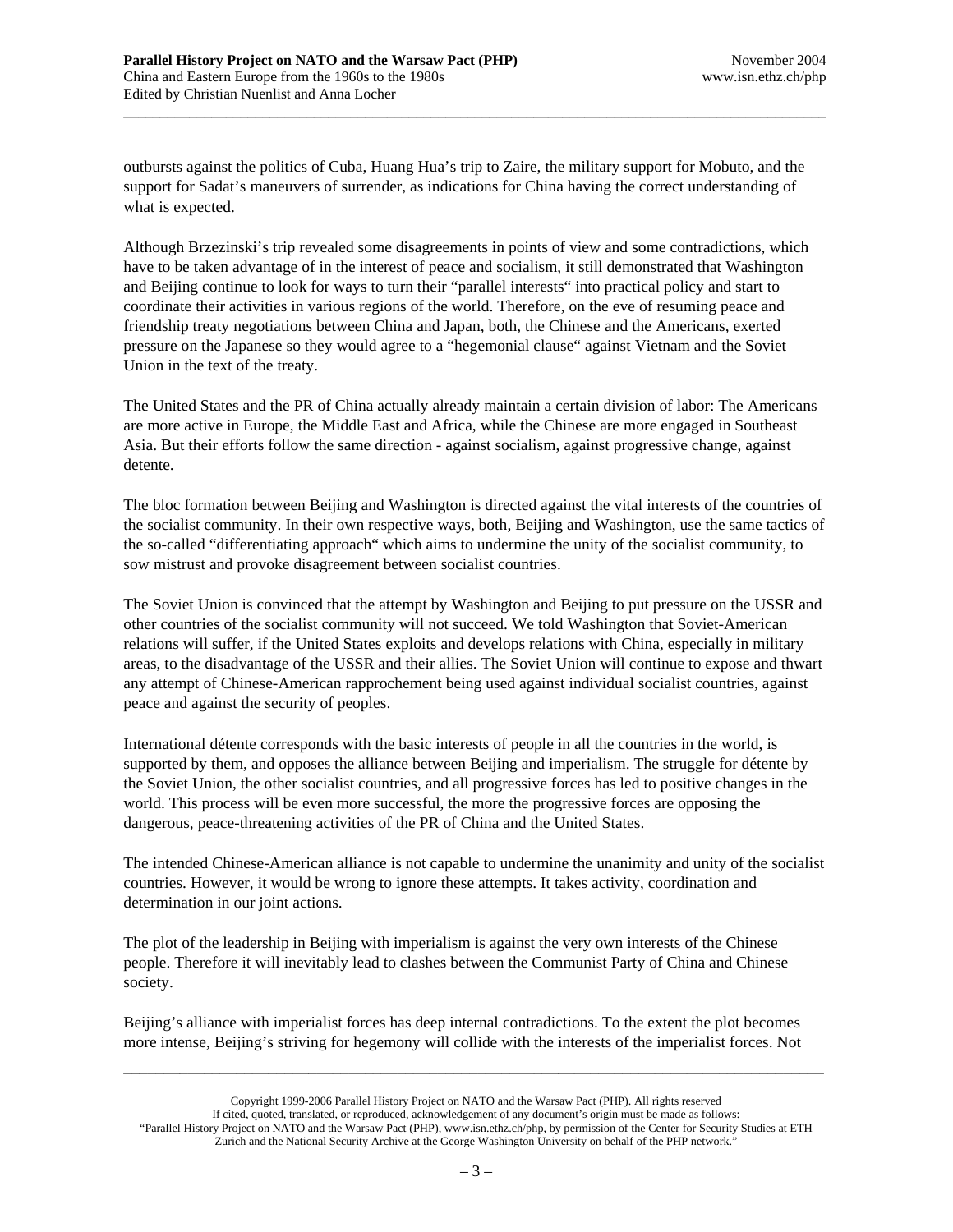outbursts against the politics of Cuba, Huang Hua's trip to Zaire, the military support for Mobuto, and the support for Sadat's maneuvers of surrender, as indications for China having the correct understanding of what is expected.

\_\_\_\_\_\_\_\_\_\_\_\_\_\_\_\_\_\_\_\_\_\_\_\_\_\_\_\_\_\_\_\_\_\_\_\_\_\_\_\_\_\_\_\_\_\_\_\_\_\_\_\_\_\_\_\_\_\_\_\_\_\_\_\_\_\_\_\_\_\_\_\_\_\_\_\_\_\_\_\_\_\_\_\_\_\_\_\_\_\_\_\_\_\_\_\_

Although Brzezinski's trip revealed some disagreements in points of view and some contradictions, which have to be taken advantage of in the interest of peace and socialism, it still demonstrated that Washington and Beijing continue to look for ways to turn their "parallel interests" into practical policy and start to coordinate their activities in various regions of the world. Therefore, on the eve of resuming peace and friendship treaty negotiations between China and Japan, both, the Chinese and the Americans, exerted pressure on the Japanese so they would agree to a "hegemonial clause" against Vietnam and the Soviet Union in the text of the treaty.

The United States and the PR of China actually already maintain a certain division of labor: The Americans are more active in Europe, the Middle East and Africa, while the Chinese are more engaged in Southeast Asia. But their efforts follow the same direction - against socialism, against progressive change, against detente.

The bloc formation between Beijing and Washington is directed against the vital interests of the countries of the socialist community. In their own respective ways, both, Beijing and Washington, use the same tactics of the so-called "differentiating approach" which aims to undermine the unity of the socialist community, to sow mistrust and provoke disagreement between socialist countries.

The Soviet Union is convinced that the attempt by Washington and Beijing to put pressure on the USSR and other countries of the socialist community will not succeed. We told Washington that Soviet-American relations will suffer, if the United States exploits and develops relations with China, especially in military areas, to the disadvantage of the USSR and their allies. The Soviet Union will continue to expose and thwart any attempt of Chinese-American rapprochement being used against individual socialist countries, against peace and against the security of peoples.

International détente corresponds with the basic interests of people in all the countries in the world, is supported by them, and opposes the alliance between Beijing and imperialism. The struggle for détente by the Soviet Union, the other socialist countries, and all progressive forces has led to positive changes in the world. This process will be even more successful, the more the progressive forces are opposing the dangerous, peace-threatening activities of the PR of China and the United States.

The intended Chinese-American alliance is not capable to undermine the unanimity and unity of the socialist countries. However, it would be wrong to ignore these attempts. It takes activity, coordination and determination in our joint actions.

The plot of the leadership in Beijing with imperialism is against the very own interests of the Chinese people. Therefore it will inevitably lead to clashes between the Communist Party of China and Chinese society.

Beijing's alliance with imperialist forces has deep internal contradictions. To the extent the plot becomes more intense, Beijing's striving for hegemony will collide with the interests of the imperialist forces. Not

Copyright 1999-2006 Parallel History Project on NATO and the Warsaw Pact (PHP). All rights reserved If cited, quoted, translated, or reproduced, acknowledgement of any document's origin must be made as follows: "Parallel History Project on NATO and the Warsaw Pact (PHP), www.isn.ethz.ch/php, by permission of the Center for Security Studies at ETH Zurich and the National Security Archive at the George Washington University on behalf of the PHP network."